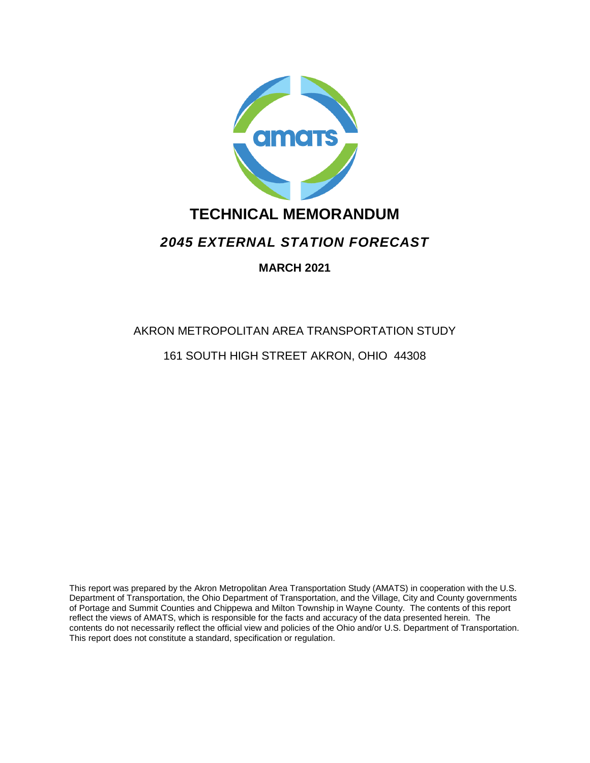

## **TECHNICAL MEMORANDUM**

## *2045 EXTERNAL STATION FORECAST*

## **MARCH 2021**

# AKRON METROPOLITAN AREA TRANSPORTATION STUDY 161 SOUTH HIGH STREET AKRON, OHIO 44308

This report was prepared by the Akron Metropolitan Area Transportation Study (AMATS) in cooperation with the U.S. Department of Transportation, the Ohio Department of Transportation, and the Village, City and County governments of Portage and Summit Counties and Chippewa and Milton Township in Wayne County. The contents of this report reflect the views of AMATS, which is responsible for the facts and accuracy of the data presented herein. The contents do not necessarily reflect the official view and policies of the Ohio and/or U.S. Department of Transportation. This report does not constitute a standard, specification or regulation.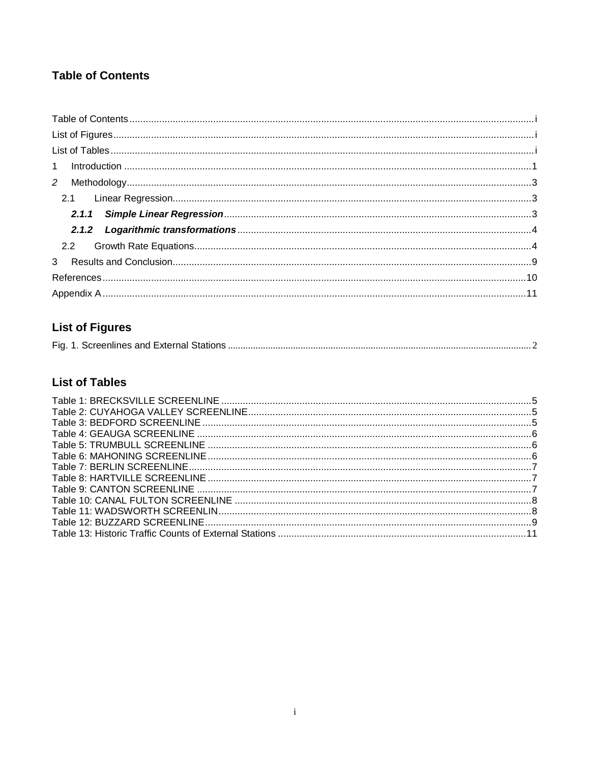## <span id="page-1-0"></span>**Table of Contents**

## <span id="page-1-1"></span>**List of Figures**

|--|--|

## <span id="page-1-2"></span>**List of Tables**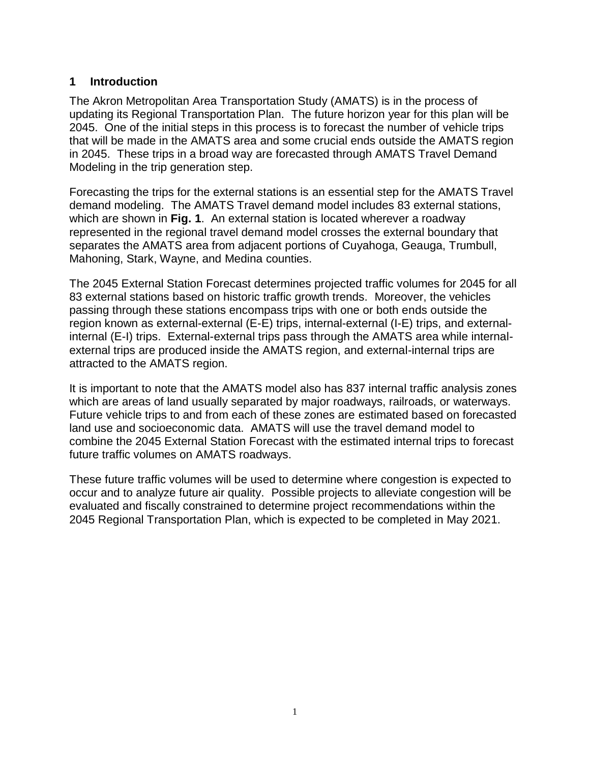## <span id="page-2-0"></span>**1 Introduction**

The Akron Metropolitan Area Transportation Study (AMATS) is in the process of updating its Regional Transportation Plan. The future horizon year for this plan will be 2045. One of the initial steps in this process is to forecast the number of vehicle trips that will be made in the AMATS area and some crucial ends outside the AMATS region in 2045. These trips in a broad way are forecasted through AMATS Travel Demand Modeling in the trip generation step.

Forecasting the trips for the external stations is an essential step for the AMATS Travel demand modeling. The AMATS Travel demand model includes 83 external stations, which are shown in **[Fig. 1](#page-3-0)**. An external station is located wherever a roadway represented in the regional travel demand model crosses the external boundary that separates the AMATS area from adjacent portions of Cuyahoga, Geauga, Trumbull, Mahoning, Stark, Wayne, and Medina counties.

The 2045 External Station Forecast determines projected traffic volumes for 2045 for all 83 external stations based on historic traffic growth trends. Moreover, the vehicles passing through these stations encompass trips with one or both ends outside the region known as external-external (E-E) trips, internal-external (I-E) trips, and externalinternal (E-I) trips. External-external trips pass through the AMATS area while internalexternal trips are produced inside the AMATS region, and external-internal trips are attracted to the AMATS region.

It is important to note that the AMATS model also has 837 internal traffic analysis zones which are areas of land usually separated by major roadways, railroads, or waterways. Future vehicle trips to and from each of these zones are estimated based on forecasted land use and socioeconomic data. AMATS will use the travel demand model to combine the 2045 External Station Forecast with the estimated internal trips to forecast future traffic volumes on AMATS roadways.

These future traffic volumes will be used to determine where congestion is expected to occur and to analyze future air quality. Possible projects to alleviate congestion will be evaluated and fiscally constrained to determine project recommendations within the 2045 Regional Transportation Plan, which is expected to be completed in May 2021.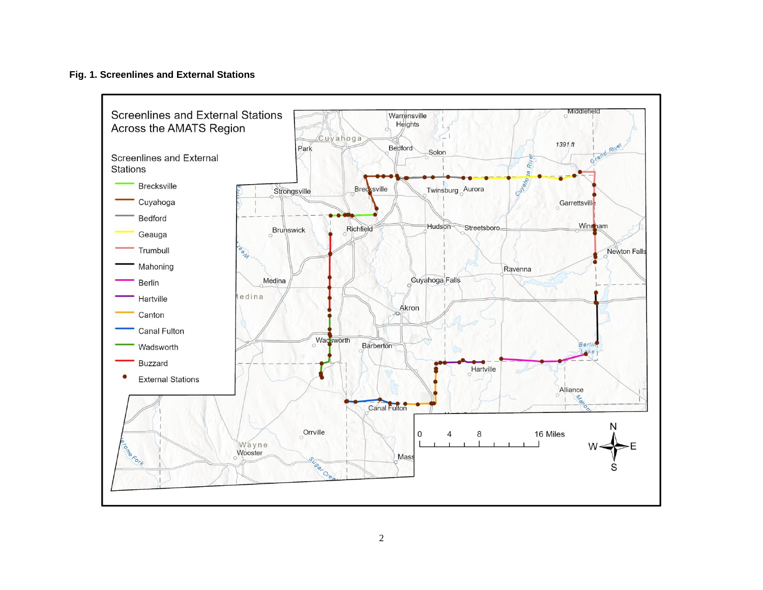#### **Fig. 1. Screenlines and External Stations**

<span id="page-3-0"></span>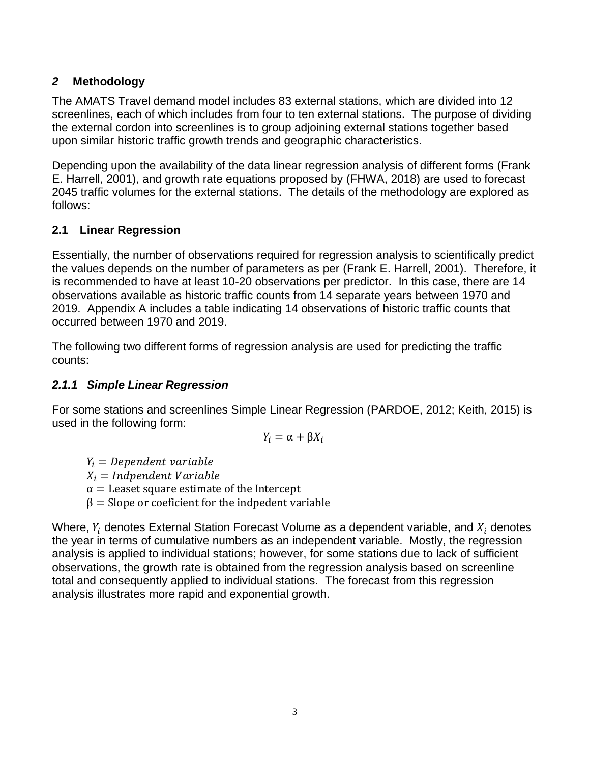## <span id="page-4-0"></span>*2* **Methodology**

The AMATS Travel demand model includes 83 external stations, which are divided into 12 screenlines, each of which includes from four to ten external stations. The purpose of dividing the external cordon into screenlines is to group adjoining external stations together based upon similar historic traffic growth trends and geographic characteristics.

Depending upon the availability of the data linear regression analysis of different forms (Frank E. Harrell, 2001), and growth rate equations proposed by (FHWA, 2018) are used to forecast 2045 traffic volumes for the external stations. The details of the methodology are explored as follows:

## <span id="page-4-1"></span>**2.1 Linear Regression**

Essentially, the number of observations required for regression analysis to scientifically predict the values depends on the number of parameters as per (Frank E. Harrell, 2001). Therefore, it is recommended to have at least 10-20 observations per predictor. In this case, there are 14 observations available as historic traffic counts from 14 separate years between 1970 and 2019. Appendix A includes a table indicating 14 observations of historic traffic counts that occurred between 1970 and 2019.

The following two different forms of regression analysis are used for predicting the traffic counts:

## <span id="page-4-2"></span>*2.1.1 Simple Linear Regression*

For some stations and screenlines Simple Linear Regression (PARDOE, 2012; Keith, 2015) is used in the following form:

$$
Y_i = \alpha + \beta X_i
$$

 $Y_i = Dependent variable$ 

 $X_i$  = Indpendent Variable

 $\alpha$  = Leaset square estimate of the Intercept

 $β = Slope$  or coeficient for the indpedent variable

Where,  $Y_i$  denotes External Station Forecast Volume as a dependent variable, and  $X_i$  denotes the year in terms of cumulative numbers as an independent variable. Mostly, the regression analysis is applied to individual stations; however, for some stations due to lack of sufficient observations, the growth rate is obtained from the regression analysis based on screenline total and consequently applied to individual stations. The forecast from this regression analysis illustrates more rapid and exponential growth.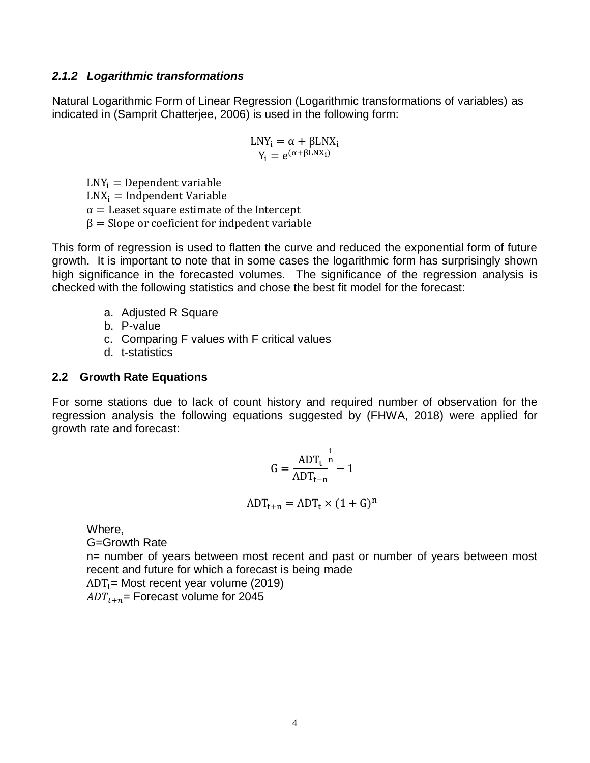#### <span id="page-5-0"></span>*2.1.2 Logarithmic transformations*

Natural Logarithmic Form of Linear Regression (Logarithmic transformations of variables) as indicated in (Samprit Chatterjee, 2006) is used in the following form:

$$
\begin{array}{c} LNY_i=\alpha+\beta LNX_i \\ Y_i=e^{(\alpha+\beta LNX_i)} \end{array}
$$

 $LNY_i = Dependent variable$  $LNX_i = Indpendent Variable$  $\alpha$  = Leaset square estimate of the Intercept  $β = Slope$  or coeficient for indpedent variable

This form of regression is used to flatten the curve and reduced the exponential form of future growth. It is important to note that in some cases the logarithmic form has surprisingly shown high significance in the forecasted volumes. The significance of the regression analysis is checked with the following statistics and chose the best fit model for the forecast:

- a. Adjusted R Square
- b. P-value
- c. Comparing F values with F critical values
- d. t-statistics

## <span id="page-5-1"></span>**2.2 Growth Rate Equations**

For some stations due to lack of count history and required number of observation for the regression analysis the following equations suggested by (FHWA, 2018) were applied for growth rate and forecast:

$$
G = \frac{ADT_t}{ADT_{t-n}}^{\frac{1}{n}} - 1
$$

$$
ADT_{t+n} = ADT_t \times (1+G)^n
$$

Where,

G=Growth Rate

n= number of years between most recent and past or number of years between most recent and future for which a forecast is being made

 $ADT_t$ = Most recent year volume (2019)  $ADT_{t+n}$ = Forecast volume for 2045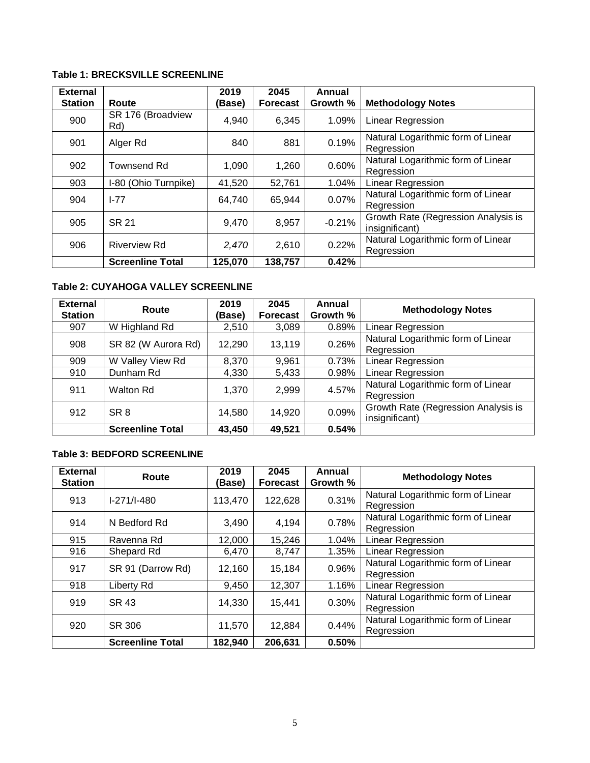#### <span id="page-6-0"></span>**Table 1: BRECKSVILLE SCREENLINE**

| <b>External</b><br><b>Station</b> | Route                    | 2019<br>(Base) | 2045<br>Forecast | Annual<br>Growth % | <b>Methodology Notes</b>                              |
|-----------------------------------|--------------------------|----------------|------------------|--------------------|-------------------------------------------------------|
| 900                               | SR 176 (Broadview<br>Rd) | 4,940          | 6,345            | 1.09%              | <b>Linear Regression</b>                              |
| 901                               | Alger Rd                 | 840            | 881              | 0.19%              | Natural Logarithmic form of Linear<br>Regression      |
| 902                               | <b>Townsend Rd</b>       | 1,090          | 1,260            | 0.60%              | Natural Logarithmic form of Linear<br>Regression      |
| 903                               | I-80 (Ohio Turnpike)     | 41,520         | 52,761           | 1.04%              | Linear Regression                                     |
| 904                               | $I - 77$                 | 64,740         | 65,944           | 0.07%              | Natural Logarithmic form of Linear<br>Regression      |
| 905                               | SR 21                    | 9,470          | 8,957            | $-0.21%$           | Growth Rate (Regression Analysis is<br>insignificant) |
| 906                               | <b>Riverview Rd</b>      | 2,470          | 2,610            | 0.22%              | Natural Logarithmic form of Linear<br>Regression      |
|                                   | <b>Screenline Total</b>  | 125,070        | 138,757          | 0.42%              |                                                       |

### <span id="page-6-1"></span>**Table 2: CUYAHOGA VALLEY SCREENLINE**

| <b>External</b><br><b>Station</b> | Route                   | 2019<br>(Base) | 2045<br><b>Forecast</b> | Annual<br>Growth % | <b>Methodology Notes</b>                              |
|-----------------------------------|-------------------------|----------------|-------------------------|--------------------|-------------------------------------------------------|
| 907                               | W Highland Rd           | 2,510          | 3,089                   | 0.89%              | <b>Linear Regression</b>                              |
| 908                               | SR 82 (W Aurora Rd)     | 12,290         | 13,119                  | 0.26%              | Natural Logarithmic form of Linear<br>Regression      |
| 909                               | W Valley View Rd        | 8,370          | 9,961                   | 0.73%              | <b>Linear Regression</b>                              |
| 910                               | Dunham Rd               | 4,330          | 5,433                   | 0.98%              | <b>Linear Regression</b>                              |
| 911                               | <b>Walton Rd</b>        | 1,370          | 2,999                   | 4.57%              | Natural Logarithmic form of Linear<br>Regression      |
| 912                               | SR <sub>8</sub>         | 14,580         | 14,920                  | 0.09%              | Growth Rate (Regression Analysis is<br>insignificant) |
|                                   | <b>Screenline Total</b> | 43,450         | 49,521                  | 0.54%              |                                                       |

#### <span id="page-6-2"></span>**Table 3: BEDFORD SCREENLINE**

| <b>External</b><br><b>Station</b> | Route                   | 2019<br>(Base) | 2045<br><b>Forecast</b> | Annual<br>Growth % | <b>Methodology Notes</b>                         |
|-----------------------------------|-------------------------|----------------|-------------------------|--------------------|--------------------------------------------------|
| 913                               | $I-271/I-480$           | 113,470        | 122,628                 | 0.31%              | Natural Logarithmic form of Linear<br>Regression |
| 914                               | N Bedford Rd            | 3,490          | 4,194                   | 0.78%              | Natural Logarithmic form of Linear<br>Regression |
| 915                               | Ravenna Rd              | 12,000         | 15,246                  | 1.04%              | <b>Linear Regression</b>                         |
| 916                               | Shepard Rd              | 6,470          | 8,747                   | 1.35%              | <b>Linear Regression</b>                         |
| 917                               | SR 91 (Darrow Rd)       | 12,160         | 15,184                  | 0.96%              | Natural Logarithmic form of Linear<br>Regression |
| 918                               | Liberty Rd              | 9,450          | 12,307                  | 1.16%              | Linear Regression                                |
| 919                               | <b>SR 43</b>            | 14,330         | 15,441                  | 0.30%              | Natural Logarithmic form of Linear<br>Regression |
| 920                               | SR 306                  | 11,570         | 12,884                  | 0.44%              | Natural Logarithmic form of Linear<br>Regression |
|                                   | <b>Screenline Total</b> | 182,940        | 206,631                 | 0.50%              |                                                  |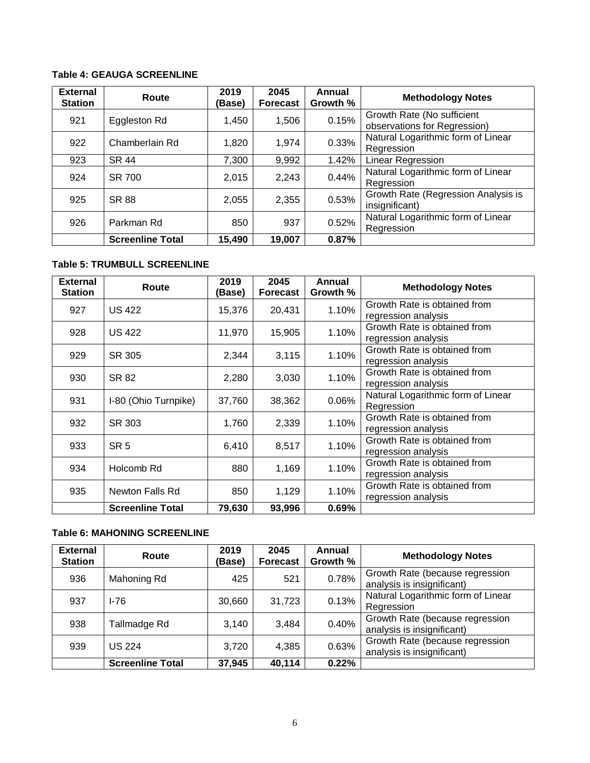#### <span id="page-7-0"></span>**Table 4: GEAUGA SCREENLINE**

| <b>External</b><br><b>Station</b> | Route                   | 2019<br>(Base) | 2045<br><b>Forecast</b> | Annual<br>Growth % | <b>Methodology Notes</b>                                   |
|-----------------------------------|-------------------------|----------------|-------------------------|--------------------|------------------------------------------------------------|
| 921                               | Eggleston Rd            | 1,450          | 1,506                   | 0.15%              | Growth Rate (No sufficient<br>observations for Regression) |
| 922                               | Chamberlain Rd          | 1,820          | 1,974                   | 0.33%              | Natural Logarithmic form of Linear<br>Regression           |
| 923                               | <b>SR 44</b>            | 7,300          | 9,992                   | 1.42%              | Linear Regression                                          |
| 924                               | SR 700                  | 2,015          | 2,243                   | 0.44%              | Natural Logarithmic form of Linear<br>Regression           |
| 925                               | <b>SR 88</b>            | 2,055          | 2,355                   | 0.53%              | Growth Rate (Regression Analysis is<br>insignificant)      |
| 926                               | Parkman Rd              | 850            | 937                     | 0.52%              | Natural Logarithmic form of Linear<br>Regression           |
|                                   | <b>Screenline Total</b> | 15,490         | 19,007                  | 0.87%              |                                                            |

#### <span id="page-7-1"></span>**Table 5: TRUMBULL SCREENLINE**

| <b>External</b><br><b>Station</b> | Route                   | 2019<br>(Base) | 2045<br><b>Forecast</b> | Annual<br>Growth % | <b>Methodology Notes</b>                            |
|-----------------------------------|-------------------------|----------------|-------------------------|--------------------|-----------------------------------------------------|
| 927                               | <b>US 422</b>           | 15,376         | 20,431                  | 1.10%              | Growth Rate is obtained from<br>regression analysis |
| 928                               | <b>US 422</b>           | 11,970         | 15,905                  | 1.10%              | Growth Rate is obtained from<br>regression analysis |
| 929                               | SR 305                  | 2,344          | 3,115                   | 1.10%              | Growth Rate is obtained from<br>regression analysis |
| 930                               | SR 82                   | 2,280          | 3,030                   | 1.10%              | Growth Rate is obtained from<br>regression analysis |
| 931                               | I-80 (Ohio Turnpike)    | 37,760         | 38,362                  | 0.06%              | Natural Logarithmic form of Linear<br>Regression    |
| 932                               | SR 303                  | 1,760          | 2,339                   | 1.10%              | Growth Rate is obtained from<br>regression analysis |
| 933                               | SR <sub>5</sub>         | 6,410          | 8,517                   | 1.10%              | Growth Rate is obtained from<br>regression analysis |
| 934                               | Holcomb Rd              | 880            | 1,169                   | 1.10%              | Growth Rate is obtained from<br>regression analysis |
| 935                               | Newton Falls Rd         | 850            | 1,129                   | 1.10%              | Growth Rate is obtained from<br>regression analysis |
|                                   | <b>Screenline Total</b> | 79,630         | 93,996                  | 0.69%              |                                                     |

#### <span id="page-7-2"></span>**Table 6: MAHONING SCREENLINE**

| <b>External</b><br><b>Station</b> | Route                   | 2019<br>(Base) | 2045<br><b>Forecast</b> | Annual<br>Growth % | <b>Methodology Notes</b>                                      |
|-----------------------------------|-------------------------|----------------|-------------------------|--------------------|---------------------------------------------------------------|
| 936                               | Mahoning Rd             | 425            | 521                     | 0.78%              | Growth Rate (because regression<br>analysis is insignificant) |
| 937                               | $I-76$                  | 30,660         | 31,723                  | 0.13%              | Natural Logarithmic form of Linear<br>Regression              |
| 938                               | Tallmadge Rd            | 3,140          | 3,484                   | 0.40%              | Growth Rate (because regression<br>analysis is insignificant) |
| 939                               | <b>US 224</b>           | 3,720          | 4,385                   | 0.63%              | Growth Rate (because regression<br>analysis is insignificant) |
|                                   | <b>Screenline Total</b> | 37,945         | 40,114                  | 0.22%              |                                                               |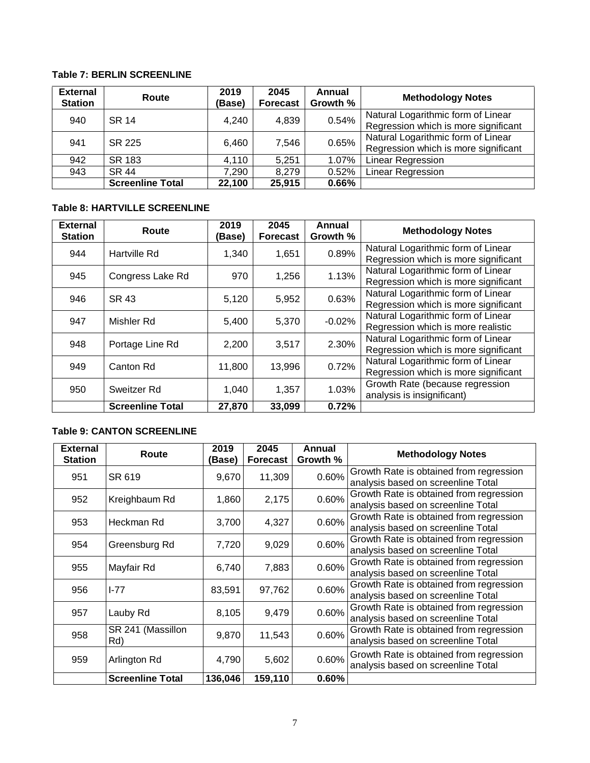#### <span id="page-8-0"></span>**Table 7: BERLIN SCREENLINE**

| <b>External</b><br><b>Station</b> | Route                   | 2019<br>(Base) | 2045<br><b>Forecast</b> | Annual<br>Growth % | <b>Methodology Notes</b>                                                   |
|-----------------------------------|-------------------------|----------------|-------------------------|--------------------|----------------------------------------------------------------------------|
| 940                               | <b>SR 14</b>            | 4,240          | 4,839                   | 0.54%              | Natural Logarithmic form of Linear<br>Regression which is more significant |
| 941                               | SR 225                  | 6,460          | 7,546                   | 0.65%              | Natural Logarithmic form of Linear<br>Regression which is more significant |
| 942                               | SR 183                  | 4,110          | 5,251                   | 1.07%              | <b>Linear Regression</b>                                                   |
| 943                               | SR 44                   | 7,290          | 8,279                   | 0.52%              | <b>Linear Regression</b>                                                   |
|                                   | <b>Screenline Total</b> | 22,100         | 25,915                  | 0.66%              |                                                                            |

## <span id="page-8-1"></span>**Table 8: HARTVILLE SCREENLINE**

| <b>External</b><br><b>Station</b> | Route                   | 2019<br>(Base) | 2045<br><b>Forecast</b> | Annual<br>Growth % | <b>Methodology Notes</b>                                                   |
|-----------------------------------|-------------------------|----------------|-------------------------|--------------------|----------------------------------------------------------------------------|
| 944                               | Hartville Rd            | 1,340          | 1,651                   | 0.89%              | Natural Logarithmic form of Linear<br>Regression which is more significant |
| 945                               | Congress Lake Rd        | 970            | 1,256                   | 1.13%              | Natural Logarithmic form of Linear<br>Regression which is more significant |
| 946                               | SR 43                   | 5,120          | 5,952                   | 0.63%              | Natural Logarithmic form of Linear<br>Regression which is more significant |
| 947                               | Mishler Rd              | 5,400          | 5,370                   | $-0.02%$           | Natural Logarithmic form of Linear<br>Regression which is more realistic   |
| 948                               | Portage Line Rd         | 2,200          | 3,517                   | 2.30%              | Natural Logarithmic form of Linear<br>Regression which is more significant |
| 949                               | Canton Rd               | 11,800         | 13,996                  | 0.72%              | Natural Logarithmic form of Linear<br>Regression which is more significant |
| 950                               | Sweitzer Rd             | 1,040          | 1,357                   | 1.03%              | Growth Rate (because regression<br>analysis is insignificant)              |
|                                   | <b>Screenline Total</b> | 27,870         | 33,099                  | 0.72%              |                                                                            |

#### <span id="page-8-2"></span>**Table 9: CANTON SCREENLINE**

| <b>External</b><br><b>Station</b> | Route                    | 2019<br>'Base) | 2045<br><b>Forecast</b> | Annual<br>Growth % | <b>Methodology Notes</b>                                                      |
|-----------------------------------|--------------------------|----------------|-------------------------|--------------------|-------------------------------------------------------------------------------|
| 951                               | SR 619                   | 9,670          | 11,309                  | 0.60%              | Growth Rate is obtained from regression<br>analysis based on screenline Total |
| 952                               | Kreighbaum Rd            | 1,860          | 2,175                   | 0.60%              | Growth Rate is obtained from regression<br>analysis based on screenline Total |
| 953                               | Heckman Rd               | 3,700          | 4,327                   | 0.60%              | Growth Rate is obtained from regression<br>analysis based on screenline Total |
| 954                               | Greensburg Rd            | 7,720          | 9,029                   | 0.60%              | Growth Rate is obtained from regression<br>analysis based on screenline Total |
| 955                               | Mayfair Rd               | 6,740          | 7,883                   | 0.60%              | Growth Rate is obtained from regression<br>analysis based on screenline Total |
| 956                               | $1 - 77$                 | 83,591         | 97,762                  | 0.60%              | Growth Rate is obtained from regression<br>analysis based on screenline Total |
| 957                               | Lauby Rd                 | 8,105          | 9,479                   | 0.60%              | Growth Rate is obtained from regression<br>analysis based on screenline Total |
| 958                               | SR 241 (Massillon<br>Rd) | 9,870          | 11,543                  | 0.60%              | Growth Rate is obtained from regression<br>analysis based on screenline Total |
| 959                               | Arlington Rd             | 4,790          | 5,602                   | 0.60%              | Growth Rate is obtained from regression<br>analysis based on screenline Total |
|                                   | <b>Screenline Total</b>  | 136,046        | 159,110                 | 0.60%              |                                                                               |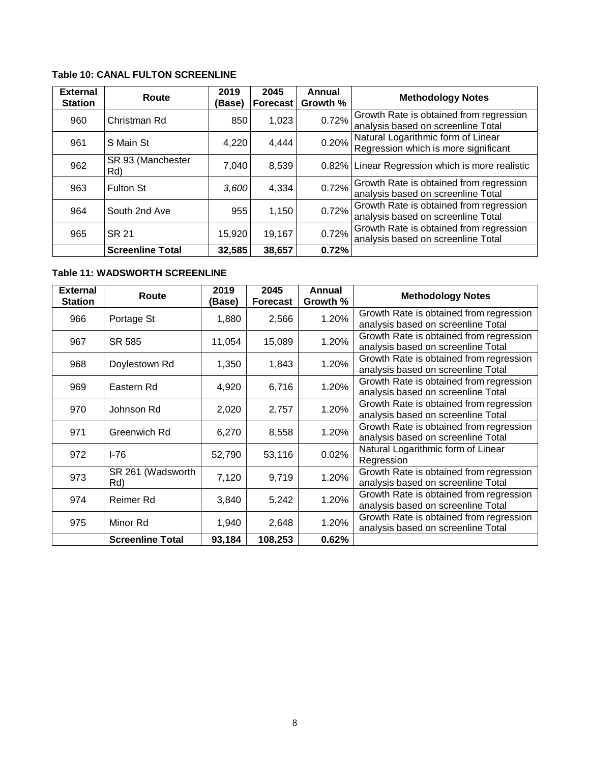#### <span id="page-9-0"></span>**Table 10: CANAL FULTON SCREENLINE**

| <b>External</b><br><b>Station</b> | Route                    | 2019<br>(Base) | 2045<br><b>Forecast</b> | Annual<br>Growth % | <b>Methodology Notes</b>                                                      |
|-----------------------------------|--------------------------|----------------|-------------------------|--------------------|-------------------------------------------------------------------------------|
| 960                               | Christman Rd             | 850            | 1,023                   | 0.72%              | Growth Rate is obtained from regression<br>analysis based on screenline Total |
| 961                               | S Main St                | 4,220          | 4,444                   | 0.20%              | Natural Logarithmic form of Linear<br>Regression which is more significant    |
| 962                               | SR 93 (Manchester<br>Rd) | 7,040          | 8,539                   |                    | 0.82% Linear Regression which is more realistic                               |
| 963                               | <b>Fulton St</b>         | 3.600          | 4,334                   | 0.72%              | Growth Rate is obtained from regression<br>analysis based on screenline Total |
| 964                               | South 2nd Ave            | 955            | 1,150                   | 0.72%              | Growth Rate is obtained from regression<br>analysis based on screenline Total |
| 965                               | <b>SR 21</b>             | 15,920         | 19,167                  | 0.72%              | Growth Rate is obtained from regression<br>analysis based on screenline Total |
|                                   | <b>Screenline Total</b>  | 32,585         | 38,657                  | 0.72%              |                                                                               |

#### <span id="page-9-1"></span>**Table 11: WADSWORTH SCREENLINE**

| <b>External</b><br><b>Station</b> | Route                   | 2019<br>(Base) | 2045<br><b>Forecast</b> | Annual<br>Growth % | <b>Methodology Notes</b>                |
|-----------------------------------|-------------------------|----------------|-------------------------|--------------------|-----------------------------------------|
| 966                               | Portage St              | 1,880          | 2,566                   | 1.20%              | Growth Rate is obtained from regression |
|                                   |                         |                |                         |                    | analysis based on screenline Total      |
| 967                               | SR 585                  | 11,054         | 15,089                  | 1.20%              | Growth Rate is obtained from regression |
|                                   |                         |                |                         |                    | analysis based on screenline Total      |
| 968                               | Doylestown Rd           | 1,350          | 1,843                   | 1.20%              | Growth Rate is obtained from regression |
|                                   |                         |                |                         |                    | analysis based on screenline Total      |
| 969                               | Eastern Rd              | 4,920          | 6,716                   | 1.20%              | Growth Rate is obtained from regression |
|                                   |                         |                |                         |                    | analysis based on screenline Total      |
| 970                               | Johnson Rd              | 2,020          | 2,757                   | 1.20%              | Growth Rate is obtained from regression |
|                                   |                         |                |                         |                    | analysis based on screenline Total      |
| 971                               | Greenwich Rd            | 6,270          | 8,558                   | 1.20%              | Growth Rate is obtained from regression |
|                                   |                         |                |                         |                    | analysis based on screenline Total      |
| 972                               | I-76                    | 52,790         | 53,116                  | 0.02%              | Natural Logarithmic form of Linear      |
|                                   |                         |                |                         |                    | Regression                              |
| 973                               | SR 261 (Wadsworth       | 7,120          | 9,719                   | 1.20%              | Growth Rate is obtained from regression |
|                                   | Rd)                     |                |                         |                    | analysis based on screenline Total      |
| 974                               | Reimer Rd               | 3,840          | 5,242                   | 1.20%              | Growth Rate is obtained from regression |
|                                   |                         |                |                         |                    | analysis based on screenline Total      |
| 975                               | Minor Rd                | 1,940          | 2,648                   | 1.20%              | Growth Rate is obtained from regression |
|                                   |                         |                |                         |                    | analysis based on screenline Total      |
|                                   | <b>Screenline Total</b> | 93,184         | 108,253                 | 0.62%              |                                         |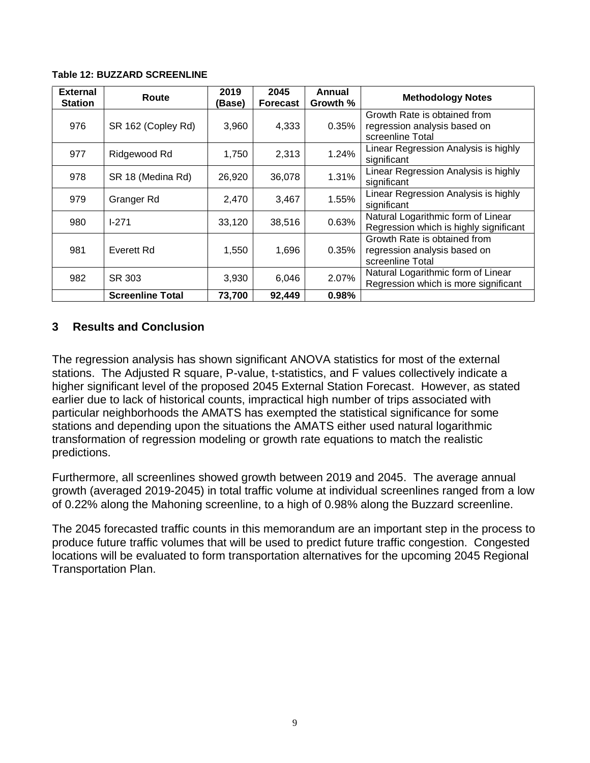| <b>External</b><br><b>Station</b> | Route                   | 2019<br>(Base) | 2045<br><b>Forecast</b> | Annual<br>Growth % | <b>Methodology Notes</b>                                                         |
|-----------------------------------|-------------------------|----------------|-------------------------|--------------------|----------------------------------------------------------------------------------|
| 976                               | SR 162 (Copley Rd)      | 3,960          | 4,333                   | 0.35%              | Growth Rate is obtained from<br>regression analysis based on<br>screenline Total |
| 977                               | Ridgewood Rd            | 1,750          | 2,313                   | 1.24%              | Linear Regression Analysis is highly<br>significant                              |
| 978                               | SR 18 (Medina Rd)       | 26,920         | 36,078                  | 1.31%              | Linear Regression Analysis is highly<br>significant                              |
| 979                               | Granger Rd              | 2,470          | 3,467                   | 1.55%              | Linear Regression Analysis is highly<br>significant                              |
| 980                               | $1 - 271$               | 33,120         | 38,516                  | 0.63%              | Natural Logarithmic form of Linear<br>Regression which is highly significant     |
| 981                               | Everett Rd              | 1,550          | 1,696                   | 0.35%              | Growth Rate is obtained from<br>regression analysis based on<br>screenline Total |
| 982                               | SR 303                  | 3,930          | 6,046                   | 2.07%              | Natural Logarithmic form of Linear<br>Regression which is more significant       |
|                                   | <b>Screenline Total</b> | 73,700         | 92,449                  | 0.98%              |                                                                                  |

#### <span id="page-10-1"></span>**Table 12: BUZZARD SCREENLINE**

## <span id="page-10-0"></span>**3 Results and Conclusion**

The regression analysis has shown significant ANOVA statistics for most of the external stations. The Adjusted R square, P-value, t-statistics, and F values collectively indicate a higher significant level of the proposed 2045 External Station Forecast. However, as stated earlier due to lack of historical counts, impractical high number of trips associated with particular neighborhoods the AMATS has exempted the statistical significance for some stations and depending upon the situations the AMATS either used natural logarithmic transformation of regression modeling or growth rate equations to match the realistic predictions.

Furthermore, all screenlines showed growth between 2019 and 2045. The average annual growth (averaged 2019-2045) in total traffic volume at individual screenlines ranged from a low of 0.22% along the Mahoning screenline, to a high of 0.98% along the Buzzard screenline.

The 2045 forecasted traffic counts in this memorandum are an important step in the process to produce future traffic volumes that will be used to predict future traffic congestion. Congested locations will be evaluated to form transportation alternatives for the upcoming 2045 Regional Transportation Plan.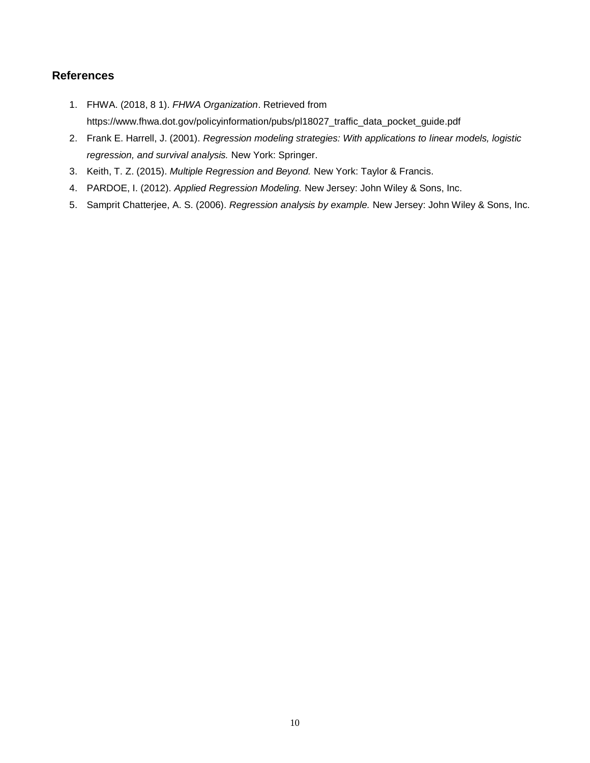#### <span id="page-11-0"></span>**References**

- 1. FHWA. (2018, 8 1). *FHWA Organization*. Retrieved from https://www.fhwa.dot.gov/policyinformation/pubs/pl18027\_traffic\_data\_pocket\_guide.pdf
- 2. Frank E. Harrell, J. (2001). *Regression modeling strategies: With applications to linear models, logistic regression, and survival analysis.* New York: Springer.
- 3. Keith, T. Z. (2015). *Multiple Regression and Beyond.* New York: Taylor & Francis.
- 4. PARDOE, I. (2012). *Applied Regression Modeling.* New Jersey: John Wiley & Sons, Inc.
- 5. Samprit Chatterjee, A. S. (2006). *Regression analysis by example.* New Jersey: John Wiley & Sons, Inc.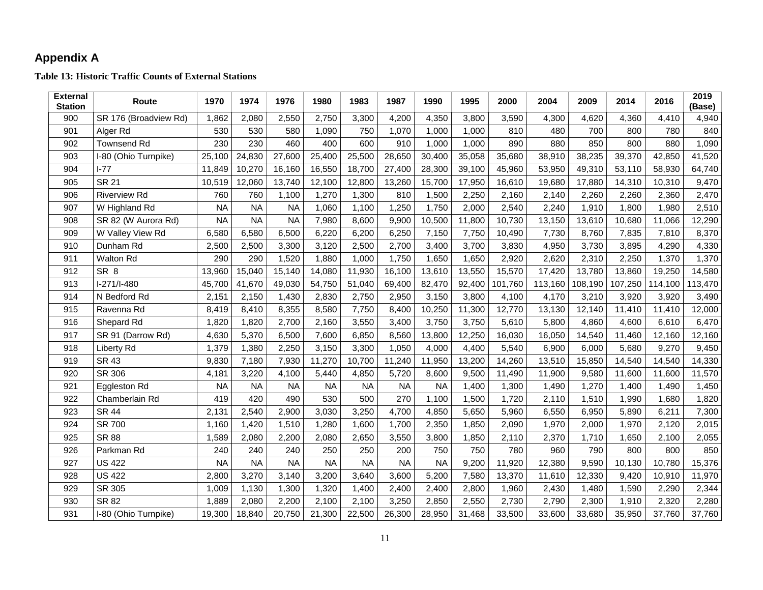## **Appendix A**

**Table 13: Historic Traffic Counts of External Stations**

<span id="page-12-1"></span><span id="page-12-0"></span>

| <b>External</b><br><b>Station</b> | Route                 | 1970      | 1974      | 1976      | 1980      | 1983      | 1987      | 1990      | 1995   | 2000    | 2004    | 2009    | 2014    | 2016    | 2019<br>(Base) |
|-----------------------------------|-----------------------|-----------|-----------|-----------|-----------|-----------|-----------|-----------|--------|---------|---------|---------|---------|---------|----------------|
| 900                               | SR 176 (Broadview Rd) | 1,862     | 2,080     | 2,550     | 2,750     | 3,300     | 4,200     | 4,350     | 3,800  | 3,590   | 4,300   | 4,620   | 4,360   | 4,410   | 4,940          |
| 901                               | Alger Rd              | 530       | 530       | 580       | 1,090     | 750       | 1,070     | 1,000     | 1,000  | 810     | 480     | 700     | 800     | 780     | 840            |
| 902                               | <b>Townsend Rd</b>    | 230       | 230       | 460       | 400       | 600       | 910       | 1,000     | 1,000  | 890     | 880     | 850     | 800     | 880     | 1,090          |
| 903                               | I-80 (Ohio Turnpike)  | 25,100    | 24,830    | 27,600    | 25,400    | 25,500    | 28,650    | 30,400    | 35,058 | 35,680  | 38,910  | 38,235  | 39,370  | 42,850  | 41,520         |
| 904                               | $I-77$                | 11,849    | 10,270    | 16,160    | 16,550    | 18,700    | 27,400    | 28,300    | 39,100 | 45,960  | 53,950  | 49,310  | 53,110  | 58,930  | 64,740         |
| 905                               | <b>SR 21</b>          | 10,519    | 12,060    | 13,740    | 12,100    | 12,800    | 13,260    | 15,700    | 17,950 | 16,610  | 19,680  | 17,880  | 14,310  | 10,310  | 9,470          |
| 906                               | <b>Riverview Rd</b>   | 760       | 760       | 1,100     | 1,270     | 1,300     | 810       | 1,500     | 2,250  | 2,160   | 2,140   | 2,260   | 2,260   | 2,360   | 2,470          |
| 907                               | W Highland Rd         | <b>NA</b> | <b>NA</b> | <b>NA</b> | 1,060     | 1,100     | 1,250     | 1,750     | 2,000  | 2,540   | 2,240   | 1,910   | 1,800   | 1,980   | 2,510          |
| 908                               | SR 82 (W Aurora Rd)   | <b>NA</b> | <b>NA</b> | <b>NA</b> | 7,980     | 8,600     | 9,900     | 10,500    | 11,800 | 10,730  | 13,150  | 13,610  | 10,680  | 11,066  | 12,290         |
| 909                               | W Valley View Rd      | 6,580     | 6,580     | 6,500     | 6,220     | 6,200     | 6,250     | 7,150     | 7,750  | 10,490  | 7,730   | 8,760   | 7,835   | 7,810   | 8,370          |
| 910                               | Dunham Rd             | 2,500     | 2,500     | 3,300     | 3,120     | 2,500     | 2,700     | 3,400     | 3,700  | 3,830   | 4,950   | 3,730   | 3,895   | 4,290   | 4,330          |
| 911                               | <b>Walton Rd</b>      | 290       | 290       | 1,520     | 1,880     | 1,000     | 1,750     | 1,650     | 1,650  | 2,920   | 2,620   | 2,310   | 2,250   | 1,370   | 1,370          |
| 912                               | SR <sub>8</sub>       | 13,960    | 15,040    | 15,140    | 14,080    | 11,930    | 16,100    | 13,610    | 13,550 | 15,570  | 17,420  | 13,780  | 13,860  | 19,250  | 14,580         |
| 913                               | I-271/I-480           | 45,700    | 41,670    | 49,030    | 54,750    | 51,040    | 69,400    | 82,470    | 92,400 | 101,760 | 113,160 | 108,190 | 107,250 | 114,100 | 113,470        |
| 914                               | N Bedford Rd          | 2,151     | 2,150     | 1,430     | 2,830     | 2,750     | 2,950     | 3,150     | 3,800  | 4,100   | 4,170   | 3,210   | 3,920   | 3,920   | 3,490          |
| 915                               | Ravenna Rd            | 8,419     | 8,410     | 8,355     | 8,580     | 7,750     | 8,400     | 10,250    | 11,300 | 12,770  | 13,130  | 12,140  | 11,410  | 11,410  | 12,000         |
| 916                               | Shepard Rd            | 1,820     | 1,820     | 2,700     | 2,160     | 3,550     | 3,400     | 3,750     | 3,750  | 5,610   | 5,800   | 4,860   | 4,600   | 6,610   | 6,470          |
| 917                               | SR 91 (Darrow Rd)     | 4,630     | 5,370     | 6,500     | 7,600     | 6,850     | 8,560     | 13,800    | 12,250 | 16,030  | 16,050  | 14,540  | 11,460  | 12,160  | 12,160         |
| 918                               | Liberty Rd            | 1,379     | 1,380     | 2,250     | 3,150     | 3,300     | 1,050     | 4,000     | 4,400  | 5,540   | 6,900   | 6,000   | 5,680   | 9,270   | 9,450          |
| 919                               | SR 43                 | 9,830     | 7,180     | 7,930     | 11,270    | 10,700    | 11,240    | 11,950    | 13,200 | 14,260  | 13,510  | 15,850  | 14,540  | 14,540  | 14,330         |
| 920                               | SR 306                | 4,181     | 3,220     | 4,100     | 5,440     | 4,850     | 5,720     | 8,600     | 9,500  | 11,490  | 11,900  | 9,580   | 11,600  | 11,600  | 11,570         |
| 921                               | Eggleston Rd          | <b>NA</b> | <b>NA</b> | <b>NA</b> | <b>NA</b> | <b>NA</b> | <b>NA</b> | <b>NA</b> | 1,400  | 1,300   | 1,490   | 1,270   | 1.400   | 1,490   | 1,450          |
| 922                               | Chamberlain Rd        | 419       | 420       | 490       | 530       | 500       | 270       | 1,100     | 1,500  | 1,720   | 2,110   | 1,510   | 1,990   | 1,680   | 1,820          |
| 923                               | <b>SR 44</b>          | 2,131     | 2,540     | 2,900     | 3,030     | 3,250     | 4,700     | 4,850     | 5,650  | 5,960   | 6,550   | 6,950   | 5,890   | 6,211   | 7,300          |
| 924                               | SR 700                | 1,160     | 1,420     | 1,510     | 1,280     | 1,600     | 1,700     | 2,350     | 1,850  | 2,090   | 1,970   | 2,000   | 1,970   | 2,120   | 2,015          |
| 925                               | <b>SR 88</b>          | 1,589     | 2,080     | 2,200     | 2,080     | 2,650     | 3,550     | 3,800     | 1,850  | 2,110   | 2,370   | 1,710   | 1,650   | 2,100   | 2,055          |
| 926                               | Parkman Rd            | 240       | 240       | 240       | 250       | 250       | 200       | 750       | 750    | 780     | 960     | 790     | 800     | 800     | 850            |
| 927                               | <b>US 422</b>         | <b>NA</b> | <b>NA</b> | <b>NA</b> | <b>NA</b> | <b>NA</b> | <b>NA</b> | <b>NA</b> | 9,200  | 11,920  | 12,380  | 9,590   | 10,130  | 10,780  | 15,376         |
| 928                               | <b>US 422</b>         | 2,800     | 3,270     | 3,140     | 3,200     | 3,640     | 3,600     | 5,200     | 7,580  | 13,370  | 11,610  | 12,330  | 9,420   | 10,910  | 11,970         |
| 929                               | SR 305                | 1,009     | 1,130     | 1,300     | 1,320     | 1,400     | 2,400     | 2,400     | 2,800  | 1,960   | 2,430   | 1,480   | 1,590   | 2,290   | 2,344          |
| 930                               | SR 82                 | 1,889     | 2,080     | 2,200     | 2,100     | 2,100     | 3,250     | 2,850     | 2,550  | 2,730   | 2,790   | 2,300   | 1,910   | 2,320   | 2,280          |
| 931                               | I-80 (Ohio Turnpike)  | 19,300    | 18,840    | 20,750    | 21,300    | 22,500    | 26,300    | 28,950    | 31,468 | 33,500  | 33,600  | 33,680  | 35,950  | 37,760  | 37,760         |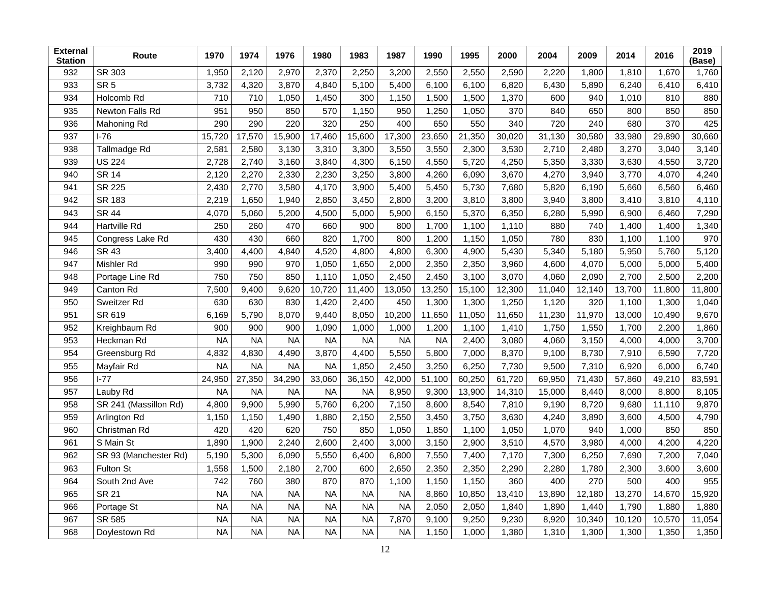| <b>External</b><br><b>Station</b> | Route                 | 1970      | 1974      | 1976      | 1980      | 1983      | 1987      | 1990      | 1995   | 2000   | 2004   | 2009   | 2014   | 2016   | 2019<br>(Base) |
|-----------------------------------|-----------------------|-----------|-----------|-----------|-----------|-----------|-----------|-----------|--------|--------|--------|--------|--------|--------|----------------|
| 932                               | SR 303                | 1,950     | 2,120     | 2,970     | 2,370     | 2,250     | 3,200     | 2,550     | 2,550  | 2,590  | 2,220  | 1,800  | 1,810  | 1,670  | 1,760          |
| 933                               | SR <sub>5</sub>       | 3,732     | 4,320     | 3,870     | 4,840     | 5,100     | 5,400     | 6,100     | 6,100  | 6,820  | 6,430  | 5,890  | 6,240  | 6,410  | 6,410          |
| 934                               | Holcomb Rd            | 710       | 710       | 1,050     | 1,450     | 300       | 1,150     | 1,500     | 1,500  | 1,370  | 600    | 940    | 1.010  | 810    | 880            |
| 935                               | Newton Falls Rd       | 951       | 950       | 850       | 570       | 1,150     | 950       | 1,250     | 1,050  | 370    | 840    | 650    | 800    | 850    | 850            |
| 936                               | Mahoning Rd           | 290       | 290       | 220       | 320       | 250       | 400       | 650       | 550    | 340    | 720    | 240    | 680    | 370    | 425            |
| 937                               | $I-76$                | 15,720    | 17,570    | 15,900    | 17,460    | 15,600    | 17,300    | 23,650    | 21,350 | 30,020 | 31,130 | 30,580 | 33,980 | 29,890 | 30,660         |
| 938                               | Tallmadge Rd          | 2,581     | 2,580     | 3,130     | 3,310     | 3,300     | 3,550     | 3,550     | 2,300  | 3,530  | 2,710  | 2,480  | 3,270  | 3,040  | 3,140          |
| 939                               | <b>US 224</b>         | 2,728     | 2,740     | 3,160     | 3,840     | 4,300     | 6,150     | 4,550     | 5,720  | 4,250  | 5,350  | 3,330  | 3,630  | 4,550  | 3,720          |
| 940                               | <b>SR 14</b>          | 2,120     | 2,270     | 2,330     | 2,230     | 3,250     | 3,800     | 4,260     | 6,090  | 3,670  | 4,270  | 3,940  | 3,770  | 4,070  | 4,240          |
| 941                               | SR 225                | 2,430     | 2,770     | 3,580     | 4,170     | 3,900     | 5,400     | 5,450     | 5,730  | 7,680  | 5,820  | 6,190  | 5,660  | 6,560  | 6,460          |
| 942                               | <b>SR 183</b>         | 2,219     | 1,650     | 1,940     | 2,850     | 3,450     | 2,800     | 3,200     | 3,810  | 3,800  | 3,940  | 3,800  | 3,410  | 3,810  | 4,110          |
| 943                               | <b>SR 44</b>          | 4,070     | 5,060     | 5,200     | 4,500     | 5,000     | 5,900     | 6,150     | 5,370  | 6,350  | 6,280  | 5,990  | 6,900  | 6,460  | 7,290          |
| 944                               | Hartville Rd          | 250       | 260       | 470       | 660       | 900       | 800       | 1,700     | 1,100  | 1,110  | 880    | 740    | 1,400  | 1,400  | 1,340          |
| 945                               | Congress Lake Rd      | 430       | 430       | 660       | 820       | 1,700     | 800       | 1,200     | 1,150  | 1,050  | 780    | 830    | 1,100  | 1,100  | 970            |
| 946                               | <b>SR 43</b>          | 3,400     | 4,400     | 4,840     | 4,520     | 4,800     | 4,800     | 6,300     | 4,900  | 5,430  | 5,340  | 5,180  | 5,950  | 5,760  | 5,120          |
| 947                               | Mishler Rd            | 990       | 990       | 970       | 1,050     | 1,650     | 2,000     | 2,350     | 2,350  | 3,960  | 4,600  | 4,070  | 5,000  | 5,000  | 5,400          |
| 948                               | Portage Line Rd       | 750       | 750       | 850       | 1,110     | 1,050     | 2,450     | 2,450     | 3,100  | 3,070  | 4,060  | 2,090  | 2,700  | 2,500  | 2,200          |
| 949                               | Canton Rd             | 7,500     | 9,400     | 9,620     | 10,720    | 11,400    | 13,050    | 13,250    | 15,100 | 12,300 | 11,040 | 12,140 | 13,700 | 11,800 | 11,800         |
| 950                               | Sweitzer Rd           | 630       | 630       | 830       | 1,420     | 2,400     | 450       | 1,300     | 1,300  | 1,250  | 1,120  | 320    | 1,100  | 1,300  | 1,040          |
| 951                               | SR 619                | 6,169     | 5,790     | 8,070     | 9,440     | 8,050     | 10,200    | 11,650    | 11,050 | 11,650 | 11,230 | 11,970 | 13,000 | 10,490 | 9,670          |
| 952                               | Kreighbaum Rd         | 900       | 900       | 900       | 1,090     | 1,000     | 1,000     | 1,200     | 1,100  | 1,410  | 1,750  | 1,550  | 1,700  | 2,200  | 1,860          |
| 953                               | Heckman Rd            | <b>NA</b> | <b>NA</b> | <b>NA</b> | <b>NA</b> | <b>NA</b> | <b>NA</b> | <b>NA</b> | 2,400  | 3,080  | 4,060  | 3,150  | 4,000  | 4,000  | 3,700          |
| 954                               | Greensburg Rd         | 4,832     | 4,830     | 4,490     | 3,870     | 4,400     | 5,550     | 5,800     | 7,000  | 8,370  | 9,100  | 8,730  | 7,910  | 6,590  | 7,720          |
| 955                               | Mayfair Rd            | <b>NA</b> | <b>NA</b> | <b>NA</b> | <b>NA</b> | 1,850     | 2,450     | 3,250     | 6,250  | 7,730  | 9,500  | 7,310  | 6,920  | 6,000  | 6,740          |
| 956                               | $I-77$                | 24,950    | 27,350    | 34,290    | 33,060    | 36,150    | 42,000    | 51,100    | 60,250 | 61,720 | 69,950 | 71,430 | 57,860 | 49,210 | 83,591         |
| 957                               | Lauby Rd              | <b>NA</b> | <b>NA</b> | <b>NA</b> | <b>NA</b> | <b>NA</b> | 8,950     | 9,300     | 13,900 | 14,310 | 15,000 | 8,440  | 8,000  | 8,800  | 8,105          |
| 958                               | SR 241 (Massillon Rd) | 4,800     | 9,900     | 5,990     | 5,760     | 6,200     | 7,150     | 8,600     | 8,540  | 7,810  | 9,190  | 8,720  | 9,680  | 11,110 | 9,870          |
| 959                               | Arlington Rd          | 1,150     | 1,150     | 1,490     | 1,880     | 2,150     | 2,550     | 3,450     | 3,750  | 3,630  | 4,240  | 3,890  | 3,600  | 4,500  | 4,790          |
| 960                               | Christman Rd          | 420       | 420       | 620       | 750       | 850       | 1,050     | 1,850     | 1,100  | 1,050  | 1,070  | 940    | 1,000  | 850    | 850            |
| 961                               | S Main St             | 1,890     | 1,900     | 2,240     | 2,600     | 2,400     | 3,000     | 3,150     | 2,900  | 3,510  | 4,570  | 3,980  | 4,000  | 4,200  | 4,220          |
| 962                               | SR 93 (Manchester Rd) | 5,190     | 5,300     | 6,090     | 5,550     | 6,400     | 6,800     | 7,550     | 7,400  | 7,170  | 7,300  | 6,250  | 7,690  | 7,200  | 7,040          |
| 963                               | Fulton St             | 1,558     | 1,500     | 2,180     | 2,700     | 600       | 2,650     | 2,350     | 2,350  | 2,290  | 2,280  | 1,780  | 2,300  | 3,600  | 3,600          |
| 964                               | South 2nd Ave         | 742       | 760       | 380       | 870       | 870       | 1,100     | 1,150     | 1,150  | 360    | 400    | 270    | 500    | 400    | 955            |
| 965                               | <b>SR 21</b>          | <b>NA</b> | <b>NA</b> | <b>NA</b> | <b>NA</b> | <b>NA</b> | <b>NA</b> | 8,860     | 10,850 | 13,410 | 13,890 | 12,180 | 13,270 | 14,670 | 15,920         |
| 966                               | Portage St            | <b>NA</b> | <b>NA</b> | <b>NA</b> | <b>NA</b> | <b>NA</b> | <b>NA</b> | 2,050     | 2,050  | 1,840  | 1,890  | 1,440  | 1,790  | 1,880  | 1,880          |
| 967                               | SR 585                | <b>NA</b> | <b>NA</b> | <b>NA</b> | <b>NA</b> | <b>NA</b> | 7,870     | 9,100     | 9,250  | 9,230  | 8,920  | 10,340 | 10,120 | 10,570 | 11,054         |
| 968                               | Doylestown Rd         | <b>NA</b> | <b>NA</b> | <b>NA</b> | <b>NA</b> | <b>NA</b> | <b>NA</b> | 1,150     | 1,000  | 1,380  | 1,310  | 1,300  | 1,300  | 1,350  | 1,350          |